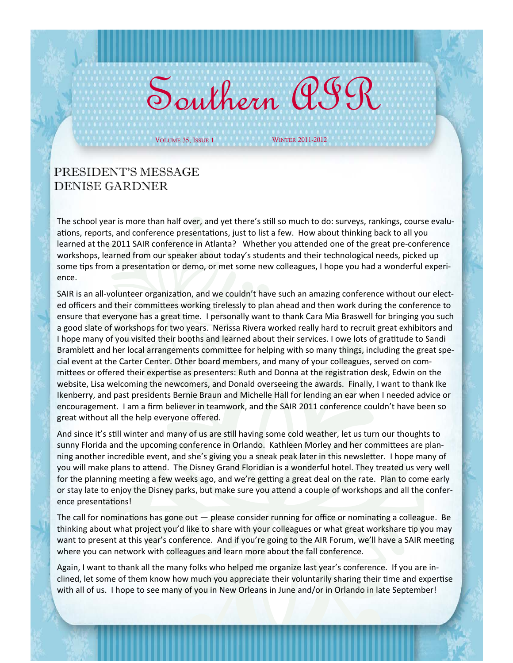### PRESIDENT'S MESSAGE DENISE GARDNER

The school year is more than half over, and yet there's still so much to do: surveys, rankings, course evaluations, reports, and conference presentations, just to list a few. How about thinking back to all you learned at the 2011 SAIR conference in Atlanta? Whether you attended one of the great pre-conference workshops, learned from our speaker about today's students and their technological needs, picked up some tips from a presentation or demo, or met some new colleagues, I hope you had a wonderful experience.

Southern QIR

VOLUME 35, ISSUE 1 WINTER 2011-2012

SAIR is an all-volunteer organization, and we couldn't have such an amazing conference without our elected officers and their committees working tirelessly to plan ahead and then work during the conference to ensure that everyone has a great time. I personally want to thank Cara Mia Braswell for bringing you such a good slate of workshops for two years. Nerissa Rivera worked really hard to recruit great exhibitors and I hope many of you visited their booths and learned about their services. I owe lots of gratitude to Sandi Bramblett and her local arrangements committee for helping with so many things, including the great special event at the Carter Center. Other board members, and many of your colleagues, served on committees or offered their expertise as presenters: Ruth and Donna at the registration desk, Edwin on the website, Lisa welcoming the newcomers, and Donald overseeing the awards. Finally, I want to thank Ike Ikenberry, and past presidents Bernie Braun and Michelle Hall for lending an ear when I needed advice or encouragement. I am a firm believer in teamwork, and the SAIR 2011 conference couldn't have been so great without all the help everyone offered.

And since it's still winter and many of us are still having some cold weather, let us turn our thoughts to sunny Florida and the upcoming conference in Orlando. Kathleen Morley and her committees are planning another incredible event, and she's giving you a sneak peak later in this newsletter. I hope many of you will make plans to attend. The Disney Grand Floridian is a wonderful hotel. They treated us very well for the planning meeting a few weeks ago, and we're getting a great deal on the rate. Plan to come early or stay late to enjoy the Disney parks, but make sure you attend a couple of workshops and all the conference presentations!

The call for nominations has gone out  $-$  please consider running for office or nominating a colleague. Be thinking about what project you'd like to share with your colleagues or what great workshare tip you may want to present at this year's conference. And if you're going to the AIR Forum, we'll have a SAIR meeting where you can network with colleagues and learn more about the fall conference.

Again, I want to thank all the many folks who helped me organize last year's conference. If you are inclined, let some of them know how much you appreciate their voluntarily sharing their time and expertise with all of us. I hope to see many of you in New Orleans in June and/or in Orlando in late September!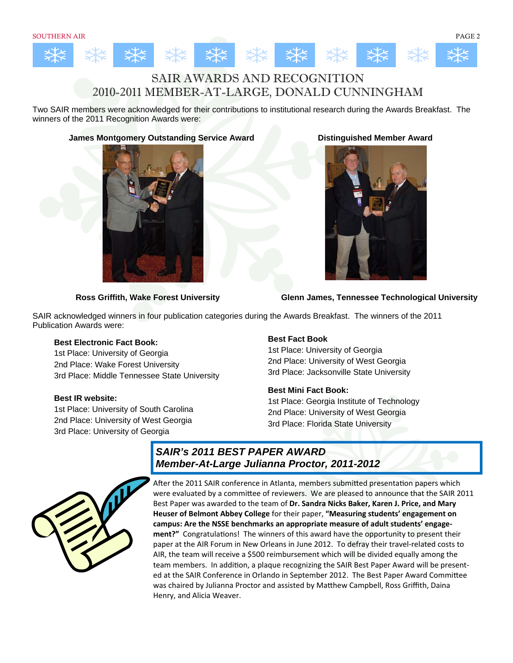

### SAIR AWARDS AND RECOGNITION 2010-2011 MEMBER-AT-LARGE, DONALD CUNNINGHAM

Two SAIR members were acknowledged for their contributions to institutional research during the Awards Breakfast. The winners of the 2011 Recognition Awards were:

### **James Montgomery Outstanding Service Award Distinguished Member Award**





 **Ross Griffith, Wake Forest University Glenn James, Tennessee Technological University** 

SAIR acknowledged winners in four publication categories during the Awards Breakfast. The winners of the 2011 Publication Awards were:

#### **Best Electronic Fact Book:**

1st Place: University of Georgia 2nd Place: Wake Forest University 3rd Place: Middle Tennessee State University

#### **Best IR website:**

1st Place: University of South Carolina 2nd Place: University of West Georgia 3rd Place: University of Georgia

#### **Best Fact Book**

1st Place: University of Georgia 2nd Place: University of West Georgia 3rd Place: Jacksonville State University

### **Best Mini Fact Book:**

1st Place: Georgia Institute of Technology 2nd Place: University of West Georgia 3rd Place: Florida State University



### *SAIR's 2011 BEST PAPER AWARD Member-At-Large Julianna Proctor, 2011-2012*

After the 2011 SAIR conference in Atlanta, members submitted presentation papers which were evaluated by a committee of reviewers. We are pleased to announce that the SAIR 2011 Best Paper was awarded to the team of **Dr. Sandra Nicks Baker, Karen J. Price, and Mary Heuser of Belmont Abbey College** for their paper, **"Measuring students' engagement on campus: Are the NSSE benchmarks an appropriate measure of adult students' engage‐** ment?" Congratulations! The winners of this award have the opportunity to present their paper at the AIR Forum in New Orleans in June 2012. To defray their travel-related costs to AIR, the team will receive a \$500 reimbursement which will be divided equally among the team members. In addition, a plaque recognizing the SAIR Best Paper Award will be presented at the SAIR Conference in Orlando in September 2012. The Best Paper Award Committee was chaired by Julianna Proctor and assisted by Matthew Campbell, Ross Griffith, Daina Henry, and Alicia Weaver.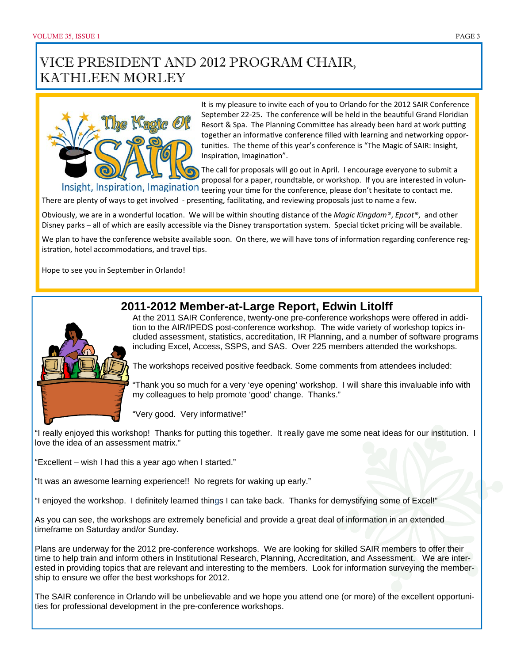## VICE PRESIDENT AND 2012 PROGRAM CHAIR, KATHLEEN MORLEY



It is my pleasure to invite each of you to Orlando for the 2012 SAIR Conference September 22-25. The conference will be held in the beautiful Grand Floridian Resort & Spa. The Planning Committee has already been hard at work putting together an informative conference filled with learning and networking opportunities. The theme of this year's conference is "The Magic of SAIR: Insight, Inspiration, Imagination".

The call for proposals will go out in April. I encourage everyone to submit a proposal for a paper, roundtable, or workshop. If you are interested in volun-

Insight, Inspiration, Imagination reering your time for the conference, please don't hesitate to contact me. There are plenty of ways to get involved - presenting, facilitating, and reviewing proposals just to name a few.

Obviously, we are in a wonderful location. We will be within shouting distance of the *Magic Kingdom®, Epcot®*, and other Disney parks – all of which are easily accessible via the Disney transportation system. Special ticket pricing will be available.

We plan to have the conference website available soon. On there, we will have tons of information regarding conference registration, hotel accommodations, and travel tips.

Hope to see you in September in Orlando!



### **2011-2012 Member-at-Large Report, Edwin Litolff**

At the 2011 SAIR Conference, twenty-one pre-conference workshops were offered in addition to the AIR/IPEDS post-conference workshop. The wide variety of workshop topics included assessment, statistics, accreditation, IR Planning, and a number of software programs including Excel, Access, SSPS, and SAS. Over 225 members attended the workshops.

The workshops received positive feedback. Some comments from attendees included:

"Thank you so much for a very 'eye opening' workshop. I will share this invaluable info with my colleagues to help promote 'good' change. Thanks."

"Very good. Very informative!"

"I really enjoyed this workshop! Thanks for putting this together. It really gave me some neat ideas for our institution. I love the idea of an assessment matrix."

"Excellent – wish I had this a year ago when I started."

"It was an awesome learning experience!! No regrets for waking up early."

"I enjoyed the workshop. I definitely learned things I can take back. Thanks for demystifying some of Excel!"

As you can see, the workshops are extremely beneficial and provide a great deal of information in an extended timeframe on Saturday and/or Sunday.

Plans are underway for the 2012 pre-conference workshops. We are looking for skilled SAIR members to offer their time to help train and inform others in Institutional Research, Planning, Accreditation, and Assessment. We are interested in providing topics that are relevant and interesting to the members. Look for information surveying the membership to ensure we offer the best workshops for 2012.

The SAIR conference in Orlando will be unbelievable and we hope you attend one (or more) of the excellent opportunities for professional development in the pre-conference workshops.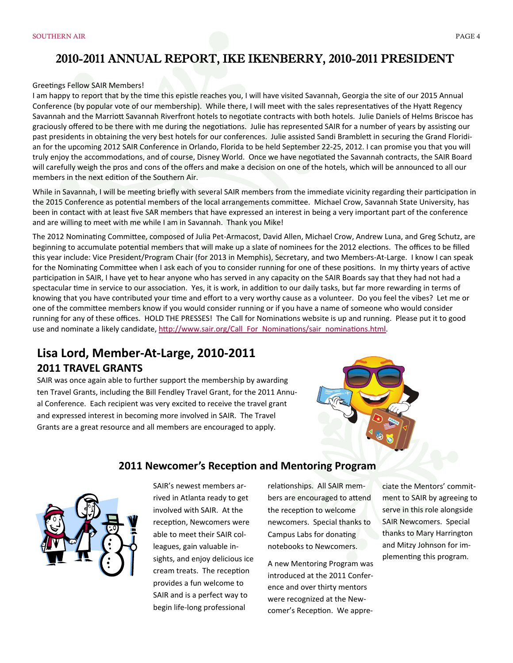### 2010-2011 ANNUAL REPORT, IKE IKENBERRY, 2010-2011 PRESIDENT

#### Greetings Fellow SAIR Members!

I am happy to report that by the time this epistle reaches you, I will have visited Savannah, Georgia the site of our 2015 Annual Conference (by popular vote of our membership). While there, I will meet with the sales representatives of the Hyatt Regency Savannah and the Marriott Savannah Riverfront hotels to negotiate contracts with both hotels. Julie Daniels of Helms Briscoe has graciously offered to be there with me during the negotiations. Julie has represented SAIR for a number of years by assisting our past presidents in obtaining the very best hotels for our conferences. Julie assisted Sandi Bramblett in securing the Grand Floridian for the upcoming 2012 SAIR Conference in Orlando, Florida to be held September 22-25, 2012. I can promise you that you will truly enjoy the accommodations, and of course, Disney World. Once we have negotiated the Savannah contracts, the SAIR Board will carefully weigh the pros and cons of the offers and make a decision on one of the hotels, which will be announced to all our members in the next edition of the Southern Air.

While in Savannah, I will be meeting briefly with several SAIR members from the immediate vicinity regarding their participation in the 2015 Conference as potential members of the local arrangements committee. Michael Crow, Savannah State University, has been in contact with at least five SAR members that have expressed an interest in being a very important part of the conference and are willing to meet with me while I am in Savannah. Thank you Mike!

The 2012 Nominating Committee, composed of Julia Pet-Armacost, David Allen, Michael Crow, Andrew Luna, and Greg Schutz, are beginning to accumulate potential members that will make up a slate of nominees for the 2012 elections. The offices to be filled this year include: Vice President/Program Chair (for 2013 in Memphis), Secretary, and two Members-At-Large. I know I can speak for the Nominating Committee when I ask each of you to consider running for one of these positions. In my thirty years of active participation in SAIR, I have yet to hear anyone who has served in any capacity on the SAIR Boards say that they had not had a spectacular time in service to our association. Yes, it is work, in addition to our daily tasks, but far more rewarding in terms of knowing that you have contributed your time and effort to a very worthy cause as a volunteer. Do you feel the vibes? Let me or one of the committee members know if you would consider running or if you have a name of someone who would consider running for any of these offices. HOLD THE PRESSES! The Call for Nominations website is up and running. Please put it to good use and nominate a likely candidate, http://www.sair.org/Call\_For\_Nominations/sair\_nominations.html.

### **Lisa Lord, Member‐At‐Large, 2010‐2011 2011 TRAVEL GRANTS**

SAIR was once again able to further support the membership by awarding ten Travel Grants, including the Bill Fendley Travel Grant, for the 2011 Annual Conference. Each recipient was very excited to receive the travel grant and expressed interest in becoming more involved in SAIR. The Travel Grants are a great resource and all members are encouraged to apply.



## **2011 Newcomer's RecepƟon and Mentoring Program**



SAIR's newest members arrived in Atlanta ready to get involved with SAIR. At the reception, Newcomers were able to meet their SAIR colleagues, gain valuable insights, and enjoy delicious ice cream treats. The reception provides a fun welcome to SAIR and is a perfect way to begin life-long professional

relationships. All SAIR members are encouraged to attend the reception to welcome newcomers. Special thanks to Campus Labs for donating notebooks to Newcomers.

A new Mentoring Program was introduced at the 2011 Conference and over thirty mentors were recognized at the Newcomer's Reception. We appre-

ciate the Mentors' commitment to SAIR by agreeing to serve in this role alongside SAIR Newcomers. Special thanks to Mary Harrington and Mitzy Johnson for implementing this program.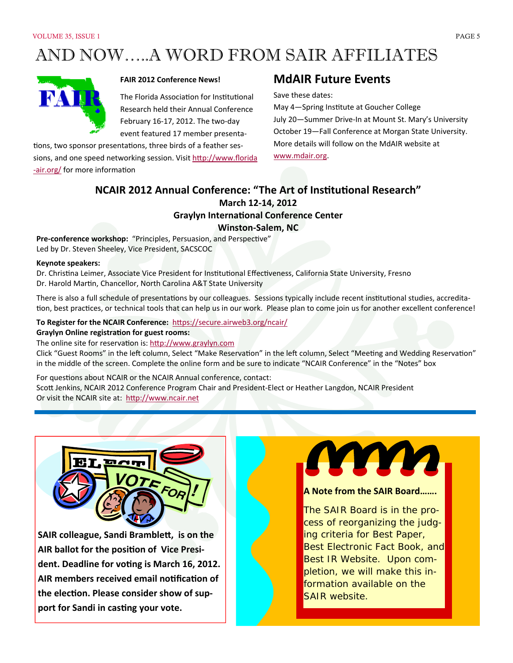# AND NOW…..A WORD FROM SAIR AFFILIATES



#### **FAIR 2012 Conference News!**

The Florida Association for Institutional Research held their Annual Conference February 16-17, 2012. The two-day event featured 17 member presenta-

tions, two sponsor presentations, three birds of a feather sessions, and one speed networking session. Visit http://www.florida -air.org/ for more information

### **MdAIR Future Events**

Save these dates:

May 4-Spring Institute at Goucher College July 20—Summer Drive-In at Mount St. Mary's University October 19—Fall Conference at Morgan State University. More details will follow on the MdAIR website at www.mdair.org.

### **NCAIR 2012 Annual Conference: "The Art of InsƟtuƟonal Research"**

**March 12‐14, 2012**

**Graylyn InternaƟonal Conference Center**

### **Winston‐Salem, NC**

Pre-conference workshop: "Principles, Persuasion, and Perspective" Led by Dr. Steven Sheeley, Vice President, SACSCOC

#### **Keynote speakers:**

Dr. Christina Leimer, Associate Vice President for Institutional Effectiveness, California State University, Fresno Dr. Harold Martin, Chancellor, North Carolina A&T State University

There is also a full schedule of presentations by our colleagues. Sessions typically include recent institutional studies, accreditation, best practices, or technical tools that can help us in our work. Please plan to come join us for another excellent conference!

### **To Register for the NCAIR Conference:** hƩps://secure.airweb3.org/ncair/ **Graylyn Online registraƟon for guest rooms:**

The online site for reservation is: http://www.graylyn.com

Click "Guest Rooms" in the left column, Select "Make Reservation" in the left column, Select "Meeting and Wedding Reservation" in the middle of the screen. Complete the online form and be sure to indicate "NCAIR Conference" in the "Notes" box

For questions about NCAIR or the NCAIR Annual conference, contact: Scott Jenkins, NCAIR 2012 Conference Program Chair and President-Elect or Heather Langdon, NCAIR President Or visit the NCAIR site at: http://www.ncair.net



**SAIR colleague, Sandi BrambleƩ, is on the AIR ballot for the posiƟon of Vice Presi‐ dent. Deadline for voƟng is March 16, 2012. AIR members received email noƟficaƟon of the elecƟon. Please consider show of sup‐ port for Sandi in casƟng your vote.**



### **A Note from the SAIR Board…….**

The SAIR Board is in the process of reorganizing the judging criteria for Best Paper, Best Electronic Fact Book, and Best IR Website. Upon completion, we will make this information available on the SAIR website.